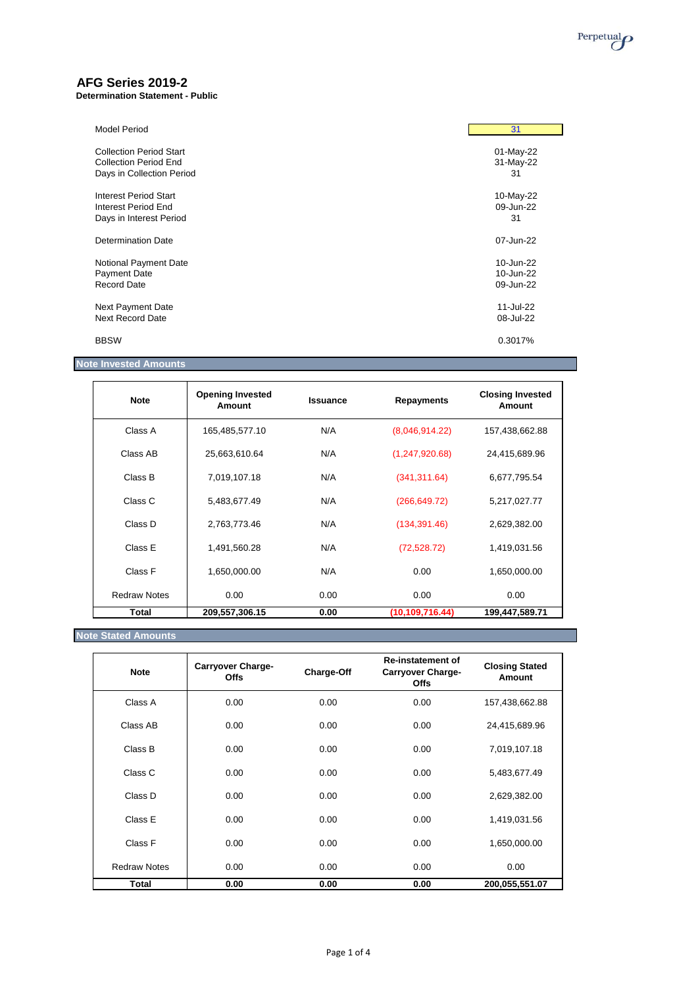

# **AFG Series 2019-2**

**Determination Statement - Public**

| <b>Model Period</b>            | 31        |
|--------------------------------|-----------|
| <b>Collection Period Start</b> | 01-May-22 |
| <b>Collection Period End</b>   | 31-May-22 |
| Days in Collection Period      | 31        |
| Interest Period Start          | 10-May-22 |
| Interest Period End            | 09-Jun-22 |
| Days in Interest Period        | 31        |
| Determination Date             | 07-Jun-22 |
| Notional Payment Date          | 10-Jun-22 |
| Payment Date                   | 10-Jun-22 |
| <b>Record Date</b>             | 09-Jun-22 |
| <b>Next Payment Date</b>       | 11-Jul-22 |
| Next Record Date               | 08-Jul-22 |
| <b>BBSW</b>                    | 0.3017%   |

# **Note Invested Amounts**

| <b>Note</b>         | <b>Opening Invested</b><br>Amount | <b>Issuance</b> | <b>Repayments</b> | <b>Closing Invested</b><br>Amount |
|---------------------|-----------------------------------|-----------------|-------------------|-----------------------------------|
| Class A             | 165,485,577.10                    | N/A             | (8,046,914.22)    | 157,438,662.88                    |
| Class AB            | 25,663,610.64                     | N/A             | (1, 247, 920.68)  | 24,415,689.96                     |
| Class B             | 7,019,107.18                      | N/A             | (341, 311.64)     | 6,677,795.54                      |
| Class C             | 5,483,677.49                      | N/A             | (266, 649.72)     | 5,217,027.77                      |
| Class D             | 2,763,773.46                      | N/A             | (134, 391.46)     | 2,629,382.00                      |
| Class E             | 1,491,560.28                      | N/A             | (72, 528.72)      | 1,419,031.56                      |
| Class F             | 1,650,000.00                      | N/A             | 0.00              | 1,650,000.00                      |
| <b>Redraw Notes</b> | 0.00                              | 0.00            | 0.00              | 0.00                              |
| Total               | 209,557,306.15                    | 0.00            | (10,109,716.44)   | 199,447,589.71                    |

## **Note Stated Amounts**

| <b>Note</b>         | <b>Carryover Charge-</b><br><b>Offs</b> | Charge-Off | <b>Re-instatement of</b><br><b>Carryover Charge-</b><br><b>Offs</b> | <b>Closing Stated</b><br>Amount |
|---------------------|-----------------------------------------|------------|---------------------------------------------------------------------|---------------------------------|
| Class A             | 0.00                                    | 0.00       | 0.00                                                                | 157,438,662.88                  |
| Class AB            | 0.00                                    | 0.00       | 0.00                                                                | 24,415,689.96                   |
| Class B             | 0.00                                    | 0.00       | 0.00                                                                | 7,019,107.18                    |
| Class C             | 0.00                                    | 0.00       | 0.00                                                                | 5,483,677.49                    |
| Class D             | 0.00                                    | 0.00       | 0.00                                                                | 2,629,382.00                    |
| Class E             | 0.00                                    | 0.00       | 0.00                                                                | 1,419,031.56                    |
| Class F             | 0.00                                    | 0.00       | 0.00                                                                | 1,650,000.00                    |
| <b>Redraw Notes</b> | 0.00                                    | 0.00       | 0.00                                                                | 0.00                            |
| Total               | 0.00                                    | 0.00       | 0.00                                                                | 200,055,551.07                  |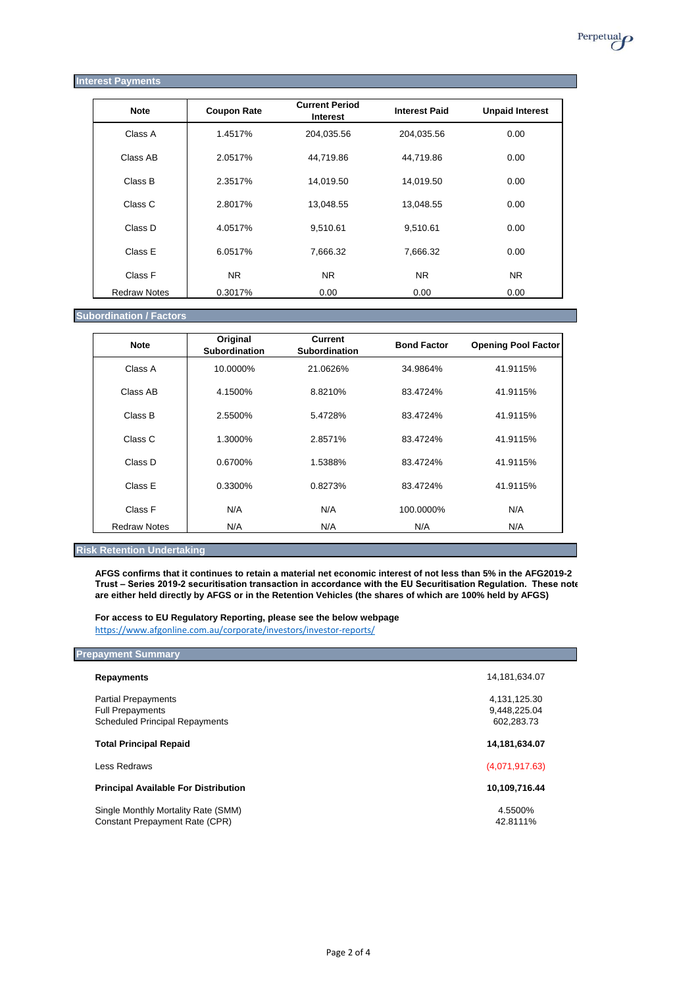#### **Interest Payments**

| <b>Note</b>         | <b>Coupon Rate</b> | <b>Current Period</b><br>Interest | <b>Interest Paid</b> | <b>Unpaid Interest</b> |
|---------------------|--------------------|-----------------------------------|----------------------|------------------------|
| Class A             | 1.4517%            | 204,035.56                        | 204,035.56           | 0.00                   |
| Class AB            | 2.0517%            | 44,719.86                         | 44.719.86            | 0.00                   |
| Class B             | 2.3517%            | 14,019.50                         | 14,019.50            | 0.00                   |
| Class C             | 2.8017%            | 13,048.55                         | 13,048.55            | 0.00                   |
| Class D             | 4.0517%            | 9,510.61                          | 9,510.61             | 0.00                   |
| Class E             | 6.0517%            | 7.666.32                          | 7,666.32             | 0.00                   |
| Class F             | <b>NR</b>          | NR.                               | <b>NR</b>            | <b>NR</b>              |
| <b>Redraw Notes</b> | 0.3017%            | 0.00                              | 0.00                 | 0.00                   |

## **Subordination / Factors**

| <b>Note</b>         | Original<br><b>Subordination</b> | <b>Current</b><br><b>Subordination</b> | <b>Bond Factor</b> | <b>Opening Pool Factor</b> |
|---------------------|----------------------------------|----------------------------------------|--------------------|----------------------------|
| Class A             | 10.0000%                         | 21.0626%                               | 34.9864%           | 41.9115%                   |
| Class AB            | 4.1500%                          | 8.8210%                                | 83.4724%           | 41.9115%                   |
| Class B             | 2.5500%                          | 5.4728%                                | 83.4724%           | 41.9115%                   |
| Class C             | 1.3000%                          | 2.8571%                                | 83.4724%           | 41.9115%                   |
| Class D             | 0.6700%                          | 1.5388%                                | 83.4724%           | 41.9115%                   |
| Class E             | 0.3300%                          | 0.8273%                                | 83.4724%           | 41.9115%                   |
| Class F             | N/A                              | N/A                                    | 100.0000%          | N/A                        |
| <b>Redraw Notes</b> | N/A                              | N/A                                    | N/A                | N/A                        |

### **Risk Retention Undertaking**

**AFGS confirms that it continues to retain a material net economic interest of not less than 5% in the AFG2019-2 Trust – Series 2019-2 securitisation transaction in accordance with the EU Securitisation Regulation. These notes are either held directly by AFGS or in the Retention Vehicles (the shares of which are 100% held by AFGS)** 

**For access to EU Regulatory Reporting, please see the below webpage** <https://www.afgonline.com.au/corporate/investors/investor-reports/>

### **Prepayment Summary**

| Repayments                                                                                     | 14,181,634.07                              |
|------------------------------------------------------------------------------------------------|--------------------------------------------|
| <b>Partial Prepayments</b><br><b>Full Prepayments</b><br><b>Scheduled Principal Repayments</b> | 4,131,125.30<br>9,448,225.04<br>602,283.73 |
| <b>Total Principal Repaid</b>                                                                  | 14,181,634.07                              |
| Less Redraws                                                                                   | (4,071,917.63)                             |
| <b>Principal Available For Distribution</b>                                                    | 10,109,716.44                              |
| Single Monthly Mortality Rate (SMM)<br><b>Constant Prepayment Rate (CPR)</b>                   | 4.5500%<br>42.8111%                        |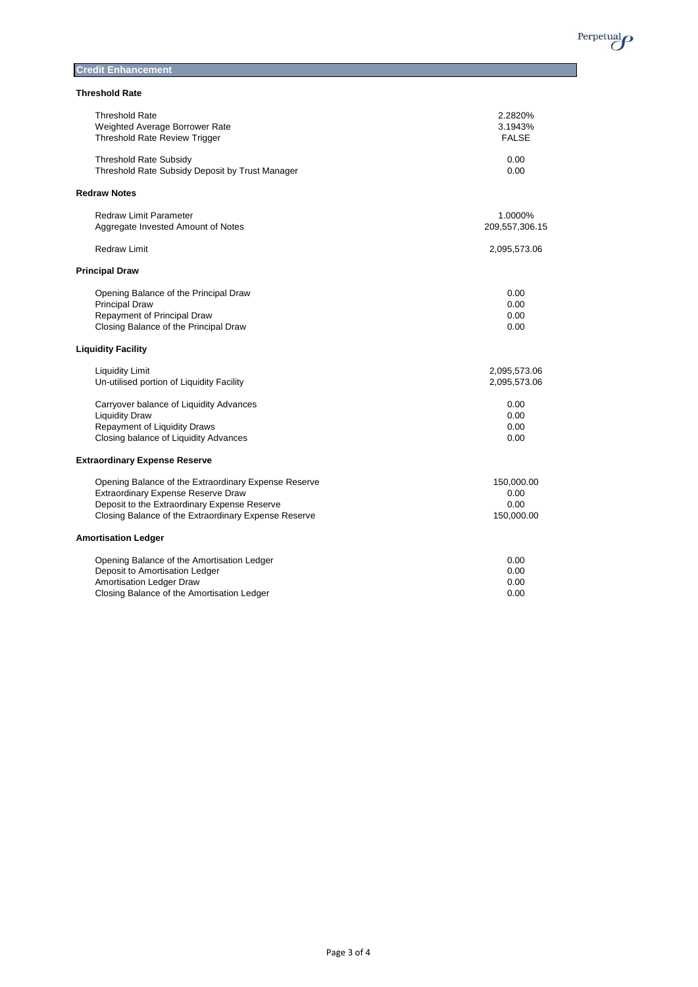

| <b>Credit Enhancement</b> |  |
|---------------------------|--|
|                           |  |

| <b>Threshold Rate</b> |  |
|-----------------------|--|
|-----------------------|--|

| <b>Threshold Rate</b><br>2.2820%<br>Weighted Average Borrower Rate<br>3.1943%<br><b>Threshold Rate Review Trigger</b><br><b>FALSE</b><br>Threshold Rate Subsidy<br>0.00<br>Threshold Rate Subsidy Deposit by Trust Manager<br>0.00<br><b>Redraw Notes</b><br><b>Redraw Limit Parameter</b><br>1.0000%<br>Aggregate Invested Amount of Notes<br>209,557,306.15<br><b>Redraw Limit</b><br>2,095,573.06<br>Opening Balance of the Principal Draw<br>0.00<br><b>Principal Draw</b><br>0.00<br>Repayment of Principal Draw<br>0.00<br>Closing Balance of the Principal Draw<br>0.00<br><b>Liquidity Facility</b><br><b>Liquidity Limit</b><br>2,095,573.06<br>Un-utilised portion of Liquidity Facility<br>2,095,573.06<br>Carryover balance of Liquidity Advances<br>0.00<br><b>Liquidity Draw</b><br>0.00<br>Repayment of Liquidity Draws<br>0.00<br>Closing balance of Liquidity Advances<br>0.00<br>Opening Balance of the Extraordinary Expense Reserve<br>150,000.00<br>Extraordinary Expense Reserve Draw<br>0.00<br>Deposit to the Extraordinary Expense Reserve<br>0.00<br>Closing Balance of the Extraordinary Expense Reserve<br>150,000.00<br>Opening Balance of the Amortisation Ledger<br>0.00<br>Deposit to Amortisation Ledger<br>0.00<br>Amortisation Ledger Draw<br>0.00<br>Closing Balance of the Amortisation Ledger<br>0.00 |                                      |  |
|---------------------------------------------------------------------------------------------------------------------------------------------------------------------------------------------------------------------------------------------------------------------------------------------------------------------------------------------------------------------------------------------------------------------------------------------------------------------------------------------------------------------------------------------------------------------------------------------------------------------------------------------------------------------------------------------------------------------------------------------------------------------------------------------------------------------------------------------------------------------------------------------------------------------------------------------------------------------------------------------------------------------------------------------------------------------------------------------------------------------------------------------------------------------------------------------------------------------------------------------------------------------------------------------------------------------------------------------|--------------------------------------|--|
|                                                                                                                                                                                                                                                                                                                                                                                                                                                                                                                                                                                                                                                                                                                                                                                                                                                                                                                                                                                                                                                                                                                                                                                                                                                                                                                                             |                                      |  |
|                                                                                                                                                                                                                                                                                                                                                                                                                                                                                                                                                                                                                                                                                                                                                                                                                                                                                                                                                                                                                                                                                                                                                                                                                                                                                                                                             |                                      |  |
|                                                                                                                                                                                                                                                                                                                                                                                                                                                                                                                                                                                                                                                                                                                                                                                                                                                                                                                                                                                                                                                                                                                                                                                                                                                                                                                                             |                                      |  |
|                                                                                                                                                                                                                                                                                                                                                                                                                                                                                                                                                                                                                                                                                                                                                                                                                                                                                                                                                                                                                                                                                                                                                                                                                                                                                                                                             |                                      |  |
|                                                                                                                                                                                                                                                                                                                                                                                                                                                                                                                                                                                                                                                                                                                                                                                                                                                                                                                                                                                                                                                                                                                                                                                                                                                                                                                                             |                                      |  |
|                                                                                                                                                                                                                                                                                                                                                                                                                                                                                                                                                                                                                                                                                                                                                                                                                                                                                                                                                                                                                                                                                                                                                                                                                                                                                                                                             |                                      |  |
|                                                                                                                                                                                                                                                                                                                                                                                                                                                                                                                                                                                                                                                                                                                                                                                                                                                                                                                                                                                                                                                                                                                                                                                                                                                                                                                                             |                                      |  |
|                                                                                                                                                                                                                                                                                                                                                                                                                                                                                                                                                                                                                                                                                                                                                                                                                                                                                                                                                                                                                                                                                                                                                                                                                                                                                                                                             |                                      |  |
|                                                                                                                                                                                                                                                                                                                                                                                                                                                                                                                                                                                                                                                                                                                                                                                                                                                                                                                                                                                                                                                                                                                                                                                                                                                                                                                                             |                                      |  |
|                                                                                                                                                                                                                                                                                                                                                                                                                                                                                                                                                                                                                                                                                                                                                                                                                                                                                                                                                                                                                                                                                                                                                                                                                                                                                                                                             |                                      |  |
|                                                                                                                                                                                                                                                                                                                                                                                                                                                                                                                                                                                                                                                                                                                                                                                                                                                                                                                                                                                                                                                                                                                                                                                                                                                                                                                                             |                                      |  |
|                                                                                                                                                                                                                                                                                                                                                                                                                                                                                                                                                                                                                                                                                                                                                                                                                                                                                                                                                                                                                                                                                                                                                                                                                                                                                                                                             |                                      |  |
|                                                                                                                                                                                                                                                                                                                                                                                                                                                                                                                                                                                                                                                                                                                                                                                                                                                                                                                                                                                                                                                                                                                                                                                                                                                                                                                                             | <b>Principal Draw</b>                |  |
|                                                                                                                                                                                                                                                                                                                                                                                                                                                                                                                                                                                                                                                                                                                                                                                                                                                                                                                                                                                                                                                                                                                                                                                                                                                                                                                                             |                                      |  |
|                                                                                                                                                                                                                                                                                                                                                                                                                                                                                                                                                                                                                                                                                                                                                                                                                                                                                                                                                                                                                                                                                                                                                                                                                                                                                                                                             |                                      |  |
|                                                                                                                                                                                                                                                                                                                                                                                                                                                                                                                                                                                                                                                                                                                                                                                                                                                                                                                                                                                                                                                                                                                                                                                                                                                                                                                                             |                                      |  |
|                                                                                                                                                                                                                                                                                                                                                                                                                                                                                                                                                                                                                                                                                                                                                                                                                                                                                                                                                                                                                                                                                                                                                                                                                                                                                                                                             |                                      |  |
|                                                                                                                                                                                                                                                                                                                                                                                                                                                                                                                                                                                                                                                                                                                                                                                                                                                                                                                                                                                                                                                                                                                                                                                                                                                                                                                                             |                                      |  |
|                                                                                                                                                                                                                                                                                                                                                                                                                                                                                                                                                                                                                                                                                                                                                                                                                                                                                                                                                                                                                                                                                                                                                                                                                                                                                                                                             |                                      |  |
|                                                                                                                                                                                                                                                                                                                                                                                                                                                                                                                                                                                                                                                                                                                                                                                                                                                                                                                                                                                                                                                                                                                                                                                                                                                                                                                                             |                                      |  |
|                                                                                                                                                                                                                                                                                                                                                                                                                                                                                                                                                                                                                                                                                                                                                                                                                                                                                                                                                                                                                                                                                                                                                                                                                                                                                                                                             |                                      |  |
|                                                                                                                                                                                                                                                                                                                                                                                                                                                                                                                                                                                                                                                                                                                                                                                                                                                                                                                                                                                                                                                                                                                                                                                                                                                                                                                                             |                                      |  |
|                                                                                                                                                                                                                                                                                                                                                                                                                                                                                                                                                                                                                                                                                                                                                                                                                                                                                                                                                                                                                                                                                                                                                                                                                                                                                                                                             |                                      |  |
|                                                                                                                                                                                                                                                                                                                                                                                                                                                                                                                                                                                                                                                                                                                                                                                                                                                                                                                                                                                                                                                                                                                                                                                                                                                                                                                                             |                                      |  |
|                                                                                                                                                                                                                                                                                                                                                                                                                                                                                                                                                                                                                                                                                                                                                                                                                                                                                                                                                                                                                                                                                                                                                                                                                                                                                                                                             |                                      |  |
|                                                                                                                                                                                                                                                                                                                                                                                                                                                                                                                                                                                                                                                                                                                                                                                                                                                                                                                                                                                                                                                                                                                                                                                                                                                                                                                                             |                                      |  |
|                                                                                                                                                                                                                                                                                                                                                                                                                                                                                                                                                                                                                                                                                                                                                                                                                                                                                                                                                                                                                                                                                                                                                                                                                                                                                                                                             | <b>Extraordinary Expense Reserve</b> |  |
|                                                                                                                                                                                                                                                                                                                                                                                                                                                                                                                                                                                                                                                                                                                                                                                                                                                                                                                                                                                                                                                                                                                                                                                                                                                                                                                                             |                                      |  |
|                                                                                                                                                                                                                                                                                                                                                                                                                                                                                                                                                                                                                                                                                                                                                                                                                                                                                                                                                                                                                                                                                                                                                                                                                                                                                                                                             |                                      |  |
|                                                                                                                                                                                                                                                                                                                                                                                                                                                                                                                                                                                                                                                                                                                                                                                                                                                                                                                                                                                                                                                                                                                                                                                                                                                                                                                                             |                                      |  |
|                                                                                                                                                                                                                                                                                                                                                                                                                                                                                                                                                                                                                                                                                                                                                                                                                                                                                                                                                                                                                                                                                                                                                                                                                                                                                                                                             |                                      |  |
|                                                                                                                                                                                                                                                                                                                                                                                                                                                                                                                                                                                                                                                                                                                                                                                                                                                                                                                                                                                                                                                                                                                                                                                                                                                                                                                                             |                                      |  |
|                                                                                                                                                                                                                                                                                                                                                                                                                                                                                                                                                                                                                                                                                                                                                                                                                                                                                                                                                                                                                                                                                                                                                                                                                                                                                                                                             | <b>Amortisation Ledger</b>           |  |
|                                                                                                                                                                                                                                                                                                                                                                                                                                                                                                                                                                                                                                                                                                                                                                                                                                                                                                                                                                                                                                                                                                                                                                                                                                                                                                                                             |                                      |  |
|                                                                                                                                                                                                                                                                                                                                                                                                                                                                                                                                                                                                                                                                                                                                                                                                                                                                                                                                                                                                                                                                                                                                                                                                                                                                                                                                             |                                      |  |
|                                                                                                                                                                                                                                                                                                                                                                                                                                                                                                                                                                                                                                                                                                                                                                                                                                                                                                                                                                                                                                                                                                                                                                                                                                                                                                                                             |                                      |  |
|                                                                                                                                                                                                                                                                                                                                                                                                                                                                                                                                                                                                                                                                                                                                                                                                                                                                                                                                                                                                                                                                                                                                                                                                                                                                                                                                             |                                      |  |